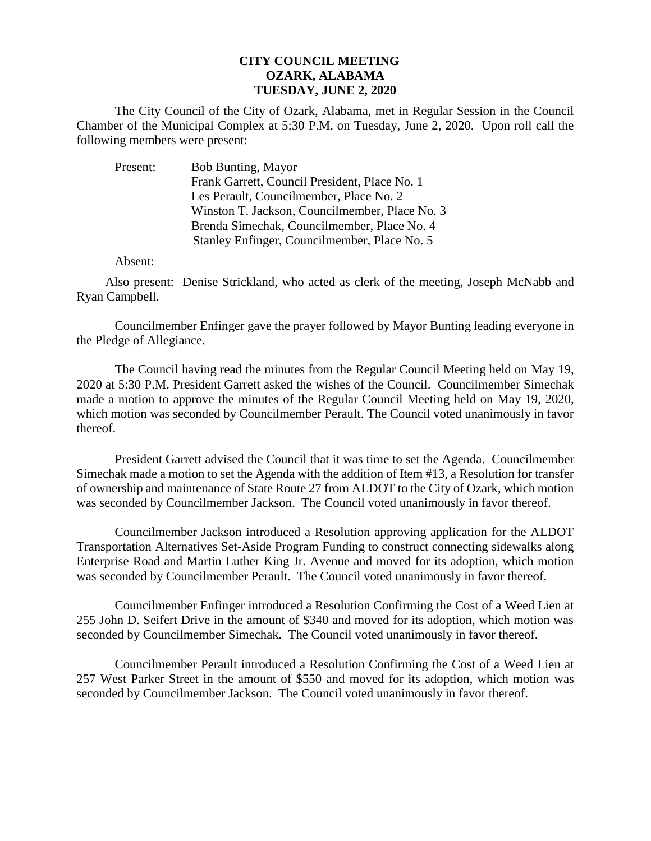## **CITY COUNCIL MEETING OZARK, ALABAMA TUESDAY, JUNE 2, 2020**

The City Council of the City of Ozark, Alabama, met in Regular Session in the Council Chamber of the Municipal Complex at 5:30 P.M. on Tuesday, June 2, 2020. Upon roll call the following members were present:

| Present: | <b>Bob Bunting, Mayor</b>                      |
|----------|------------------------------------------------|
|          | Frank Garrett, Council President, Place No. 1  |
|          | Les Perault, Councilmember, Place No. 2        |
|          | Winston T. Jackson, Councilmember, Place No. 3 |
|          | Brenda Simechak, Councilmember, Place No. 4    |
|          | Stanley Enfinger, Councilmember, Place No. 5   |

Absent:

Also present: Denise Strickland, who acted as clerk of the meeting, Joseph McNabb and Ryan Campbell.

Councilmember Enfinger gave the prayer followed by Mayor Bunting leading everyone in the Pledge of Allegiance.

The Council having read the minutes from the Regular Council Meeting held on May 19, 2020 at 5:30 P.M. President Garrett asked the wishes of the Council. Councilmember Simechak made a motion to approve the minutes of the Regular Council Meeting held on May 19, 2020, which motion was seconded by Councilmember Perault. The Council voted unanimously in favor thereof.

President Garrett advised the Council that it was time to set the Agenda. Councilmember Simechak made a motion to set the Agenda with the addition of Item #13, a Resolution for transfer of ownership and maintenance of State Route 27 from ALDOT to the City of Ozark, which motion was seconded by Councilmember Jackson. The Council voted unanimously in favor thereof.

Councilmember Jackson introduced a Resolution approving application for the ALDOT Transportation Alternatives Set-Aside Program Funding to construct connecting sidewalks along Enterprise Road and Martin Luther King Jr. Avenue and moved for its adoption, which motion was seconded by Councilmember Perault. The Council voted unanimously in favor thereof.

Councilmember Enfinger introduced a Resolution Confirming the Cost of a Weed Lien at 255 John D. Seifert Drive in the amount of \$340 and moved for its adoption, which motion was seconded by Councilmember Simechak. The Council voted unanimously in favor thereof.

Councilmember Perault introduced a Resolution Confirming the Cost of a Weed Lien at 257 West Parker Street in the amount of \$550 and moved for its adoption, which motion was seconded by Councilmember Jackson. The Council voted unanimously in favor thereof.